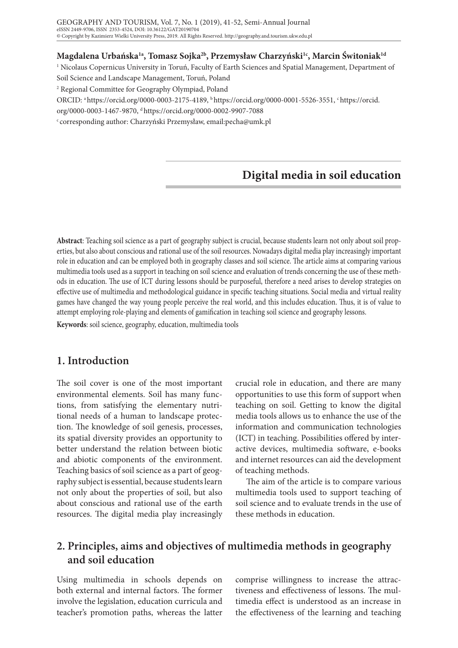#### **Magdalena Urbańska1a, Tomasz Sojka2b, Przemysław Charzyński1c, Marcin Świtoniak1d**

1 Nicolaus Copernicus University in Toruń, Faculty of Earth Sciences and Spatial Management, Department of

Soil Science and Landscape Management, Toruń, Poland

2 Regional Committee for Geography Olympiad, Poland

ORCID: a https://orcid.org/0000-0003-2175-4189, b https://orcid.org/0000-0001-5526-3551, c https://orcid.

org/0000-0003-1467-9870, d https://orcid.org/0000-0002-9907-7088

c corresponding author: Charzyński Przemysław, email:pecha@umk.pl

# **Digital media in soil education**

**Abstract**: Teaching soil science as a part of geography subject is crucial, because students learn not only about soil properties, but also about conscious and rational use of the soil resources. Nowadays digital media play increasingly important role in education and can be employed both in geography classes and soil science. The article aims at comparing various multimedia tools used as a support in teaching on soil science and evaluation of trends concerning the use of these methods in education. The use of ICT during lessons should be purposeful, therefore a need arises to develop strategies on effective use of multimedia and methodological guidance in specific teaching situations. Social media and virtual reality games have changed the way young people perceive the real world, and this includes education. Thus, it is of value to attempt employing role-playing and elements of gamification in teaching soil science and geography lessons.

**Keywords**: soil science, geography, education, multimedia tools

### **1. Introduction**

The soil cover is one of the most important environmental elements. Soil has many functions, from satisfying the elementary nutritional needs of a human to landscape protection. The knowledge of soil genesis, processes, its spatial diversity provides an opportunity to better understand the relation between biotic and abiotic components of the environment. Teaching basics of soil science as a part of geography subject is essential, because students learn not only about the properties of soil, but also about conscious and rational use of the earth resources. The digital media play increasingly

crucial role in education, and there are many opportunities to use this form of support when teaching on soil. Getting to know the digital media tools allows us to enhance the use of the information and communication technologies (ICT) in teaching. Possibilities offered by interactive devices, multimedia software, e-books and internet resources can aid the development of teaching methods.

The aim of the article is to compare various multimedia tools used to support teaching of soil science and to evaluate trends in the use of these methods in education.

## **2. Principles, aims and objectives of multimedia methods in geography and soil education**

Using multimedia in schools depends on both external and internal factors. The former involve the legislation, education curricula and teacher's promotion paths, whereas the latter

comprise willingness to increase the attractiveness and effectiveness of lessons. The multimedia effect is understood as an increase in the effectiveness of the learning and teaching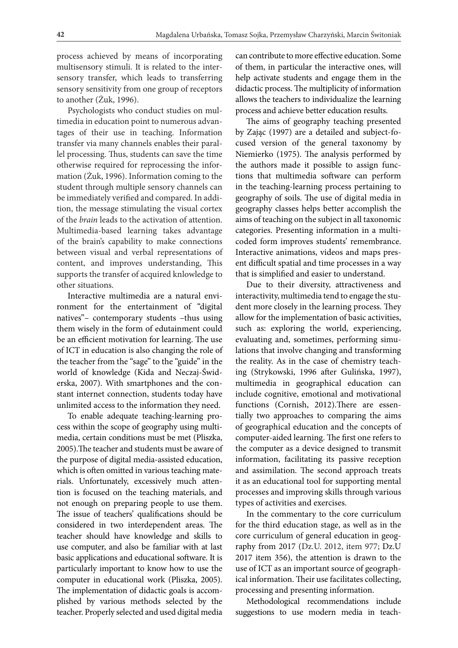process achieved by means of incorporating multisensory stimuli. It is related to the intersensory transfer, which leads to transferring sensory sensitivity from one group of receptors to another (Żuk, 1996).

Psychologists who conduct studies on multimedia in education point to numerous advantages of their use in teaching. Information transfer via many channels enables their parallel processing. Thus, students can save the time otherwise required for reprocessing the information (Żuk, 1996). Information coming to the student through multiple sensory channels can be immediately verified and compared. In addition, the message stimulating the visual cortex of the *brain* leads to the activation of attention. Multimedia-based learning takes advantage of the brain's capability to make connections between visual and verbal representations of content, and improves understanding, This supports the transfer of acquired knlowledge to other situations.

Interactive multimedia are a natural environment for the entertainment of "digital natives"– contemporary students –thus using them wisely in the form of edutainment could be an efficient motivation for learning. The use of ICT in education is also changing the role of the teacher from the "sage" to the "guide" in the world of knowledge (Kida and Neczaj-Świderska, 2007). With smartphones and the constant internet connection, students today have unlimited access to the information they need.

To enable adequate teaching-learning process within the scope of geography using multimedia, certain conditions must be met (Pliszka, 2005).The teacher and students must be aware of the purpose of digital media-assisted education, which is often omitted in various teaching materials. Unfortunately, excessively much attention is focused on the teaching materials, and not enough on preparing people to use them. The issue of teachers' qualifications should be considered in two interdependent areas. The teacher should have knowledge and skills to use computer, and also be familiar with at last basic applications and educational software. It is particularly important to know how to use the computer in educational work (Pliszka, 2005). The implementation of didactic goals is accomplished by various methods selected by the teacher. Properly selected and used digital media

can contribute to more effective education. Some of them, in particular the interactive ones, will help activate students and engage them in the didactic process. The multiplicity of information allows the teachers to individualize the learning process and achieve better education results.

The aims of geography teaching presented by Zając (1997) are a detailed and subject-focused version of the general taxonomy by Niemierko (1975). The analysis performed by the authors made it possible to assign functions that multimedia software can perform in the teaching-learning process pertaining to geography of soils. The use of digital media in geography classes helps better accomplish the aims of teaching on the subject in all taxonomic categories. Presenting information in a multicoded form improves students' remembrance. Interactive animations, videos and maps present difficult spatial and time processes in a way that is simplified and easier to understand.

Due to their diversity, attractiveness and interactivity, multimedia tend to engage the student more closely in the learning process. They allow for the implementation of basic activities, such as: exploring the world, experiencing, evaluating and, sometimes, performing simulations that involve changing and transforming the reality. As in the case of chemistry teaching (Strykowski, 1996 after Gulińska, 1997), multimedia in geographical education can include cognitive, emotional and motivational functions (Cornish, 2012).There are essentially two approaches to comparing the aims of geographical education and the concepts of computer-aided learning. The first one refers to the computer as a device designed to transmit information, facilitating its passive reception and assimilation. The second approach treats it as an educational tool for supporting mental processes and improving skills through various types of activities and exercises.

In the commentary to the core curriculum for the third education stage, as well as in the core curriculum of general education in geography from 2017 (Dz.U. 2012, item 977; Dz.U 2017 item 356), the attention is drawn to the use of ICT as an important source of geographical information. Their use facilitates collecting, processing and presenting information.

Methodological recommendations include suggestions to use modern media in teach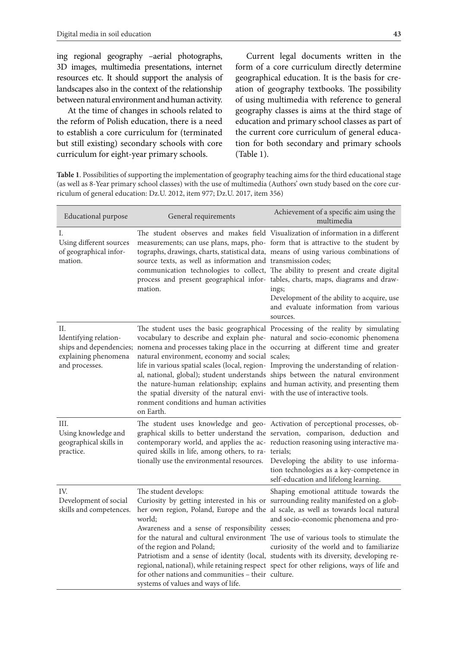ing regional geography –aerial photographs, 3D images, multimedia presentations, internet resources etc. It should support the analysis of landscapes also in the context of the relationship between natural environment and human activity.

At the time of changes in schools related to the reform of Polish education, there is a need to establish a core curriculum for (terminated but still existing) secondary schools with core curriculum for eight-year primary schools.

Current legal documents written in the form of a core curriculum directly determine geographical education. It is the basis for creation of geography textbooks. The possibility of using multimedia with reference to general geography classes is aims at the third stage of education and primary school classes as part of the current core curriculum of general education for both secondary and primary schools (Table 1).

**Table 1**. Possibilities of supporting the implementation of geography teaching aims for the third educational stage (as well as 8-Year primary school classes) with the use of multimedia (Authors' own study based on the core curriculum of general education: Dz.U. 2012, item 977; Dz.U. 2017, item 356)

| <b>Educational purpose</b>                                                                       | General requirements                                                                                                                                                                                                                                                                                   | Achievement of a specific aim using the<br>multimedia                                                                                                                                                                                                                                                                                                                                                                                                                                                                 |
|--------------------------------------------------------------------------------------------------|--------------------------------------------------------------------------------------------------------------------------------------------------------------------------------------------------------------------------------------------------------------------------------------------------------|-----------------------------------------------------------------------------------------------------------------------------------------------------------------------------------------------------------------------------------------------------------------------------------------------------------------------------------------------------------------------------------------------------------------------------------------------------------------------------------------------------------------------|
| Ι.<br>Using different sources<br>of geographical infor-<br>mation.                               | source texts, as well as information and transmission codes;<br>process and present geographical infor- tables, charts, maps, diagrams and draw-<br>mation.                                                                                                                                            | The student observes and makes field Visualization of information in a different<br>measurements; can use plans, maps, pho- form that is attractive to the student by<br>tographs, drawings, charts, statistical data, means of using various combinations of<br>communication technologies to collect, The ability to present and create digital<br>ings;<br>Development of the ability to acquire, use<br>and evaluate information from various<br>sources.                                                         |
| П.<br>Identifying relation-<br>ships and dependencies;<br>explaining phenomena<br>and processes. | natural environment, economy and social scales;<br>the spatial diversity of the natural envi- with the use of interactive tools.<br>ronment conditions and human activities<br>on Earth.                                                                                                               | The student uses the basic geographical Processing of the reality by simulating<br>vocabulary to describe and explain phe- natural and socio-economic phenomena<br>nomena and processes taking place in the occurring at different time and greater<br>life in various spatial scales (local, region- Improving the understanding of relation-<br>al, national, global); student understands ships between the natural environment<br>the nature-human relationship; explains and human activity, and presenting them |
| III.<br>Using knowledge and<br>geographical skills in<br>practice.                               | quired skills in life, among others, to ra- terials;<br>tionally use the environmental resources.  Developing the ability to use informa-                                                                                                                                                              | The student uses knowledge and geo- Activation of perceptional processes, ob-<br>graphical skills to better understand the servation, comparison, deduction and<br>contemporary world, and applies the ac- reduction reasoning using interactive ma-<br>tion technologies as a key-competence in<br>self-education and lifelong learning.                                                                                                                                                                             |
| IV.<br>Development of social<br>skills and competences.                                          | The student develops:<br>world;<br>Awareness and a sense of responsibility cesses;<br>of the region and Poland;<br>Patriotism and a sense of identity (local, students with its diversity, developing re-<br>for other nations and communities - their culture.<br>systems of values and ways of life. | Shaping emotional attitude towards the<br>Curiosity by getting interested in his or surrounding reality manifested on a glob-<br>her own region, Poland, Europe and the al scale, as well as towards local natural<br>and socio-economic phenomena and pro-<br>for the natural and cultural environment The use of various tools to stimulate the<br>curiosity of the world and to familiarize<br>regional, national), while retaining respect spect for other religions, ways of life and                            |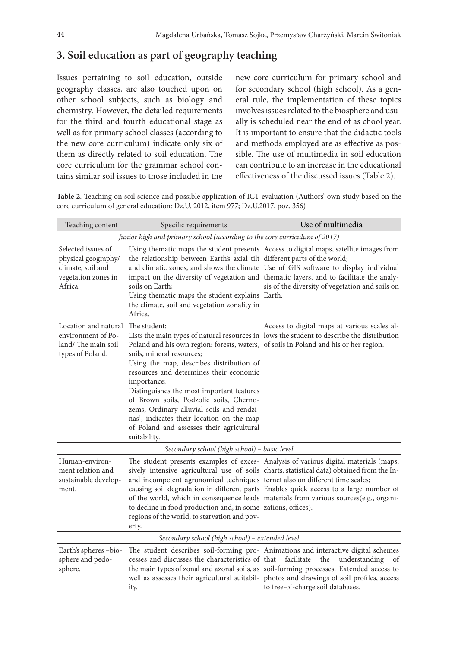### **3. Soil education as part of geography teaching**

Issues pertaining to soil education, outside geography classes, are also touched upon on other school subjects, such as biology and chemistry. However, the detailed requirements for the third and fourth educational stage as well as for primary school classes (according to the new core curriculum) indicate only six of them as directly related to soil education. The core curriculum for the grammar school contains similar soil issues to those included in the

new core curriculum for primary school and for secondary school (high school). As a general rule, the implementation of these topics involves issues related to the biosphere and usually is scheduled near the end of as chool year. It is important to ensure that the didactic tools and methods employed are as effective as possible. The use of multimedia in soil education can contribute to an increase in the educational effectiveness of the discussed issues (Table 2).

**Table 2**. Teaching on soil science and possible application of ICT evaluation (Authors' own study based on the core curriculum of general education: Dz.U. 2012, item 977; Dz.U.2017, poz. 356)

| Teaching content                                                                                 | Specific requirements                                                                                                                                                                                                                                                                                                                                                                                                                                                                                | Use of multimedia                                                                                                                                                                                                                                                                                                                                                    |  |  |
|--------------------------------------------------------------------------------------------------|------------------------------------------------------------------------------------------------------------------------------------------------------------------------------------------------------------------------------------------------------------------------------------------------------------------------------------------------------------------------------------------------------------------------------------------------------------------------------------------------------|----------------------------------------------------------------------------------------------------------------------------------------------------------------------------------------------------------------------------------------------------------------------------------------------------------------------------------------------------------------------|--|--|
| Junior high and primary school (according to the core curriculum of 2017)                        |                                                                                                                                                                                                                                                                                                                                                                                                                                                                                                      |                                                                                                                                                                                                                                                                                                                                                                      |  |  |
| Selected issues of<br>physical geography/<br>climate, soil and<br>vegetation zones in<br>Africa. | the relationship between Earth's axial tilt different parts of the world;<br>soils on Earth;<br>Using thematic maps the student explains Earth.<br>the climate, soil and vegetation zonality in<br>Africa.                                                                                                                                                                                                                                                                                           | Using thematic maps the student presents Access to digital maps, satellite images from<br>and climatic zones, and shows the climate Use of GIS software to display individual<br>impact on the diversity of vegetation and thematic layers, and to facilitate the analy-<br>sis of the diversity of vegetation and soils on                                          |  |  |
| Location and natural<br>environment of Po-<br>land/The main soil<br>types of Poland.             | The student:<br>Poland and his own region: forests, waters, of soils in Poland and his or her region.<br>soils, mineral resources;<br>Using the map, describes distribution of<br>resources and determines their economic<br>importance;<br>Distinguishes the most important features<br>of Brown soils, Podzolic soils, Cherno-<br>zems, Ordinary alluvial soils and rendzi-<br>nas <sup>1</sup> , indicates their location on the map<br>of Poland and assesses their agricultural<br>suitability. | Access to digital maps at various scales al-<br>Lists the main types of natural resources in lows the student to describe the distribution                                                                                                                                                                                                                           |  |  |
| Secondary school (high school) - basic level                                                     |                                                                                                                                                                                                                                                                                                                                                                                                                                                                                                      |                                                                                                                                                                                                                                                                                                                                                                      |  |  |
| Human-environ-<br>ment relation and<br>sustainable develop-<br>ment.                             | and incompetent agronomical techniques ternet also on different time scales;<br>to decline in food production and, in some zations, offices).<br>regions of the world, to starvation and pov-<br>erty.                                                                                                                                                                                                                                                                                               | The student presents examples of exces- Analysis of various digital materials (maps,<br>sively intensive agricultural use of soils charts, statistical data) obtained from the In-<br>causing soil degradation in different parts Enables quick access to a large number of<br>of the world, which in consequence leads materials from various sources(e.g., organi- |  |  |
| Secondary school (high school) - extended level                                                  |                                                                                                                                                                                                                                                                                                                                                                                                                                                                                                      |                                                                                                                                                                                                                                                                                                                                                                      |  |  |
| Earth's spheres -bio-<br>sphere and pedo-<br>sphere.                                             | cesses and discusses the characteristics of that<br>ity.                                                                                                                                                                                                                                                                                                                                                                                                                                             | The student describes soil-forming pro- Animations and interactive digital schemes<br>facilitate<br>the<br>understanding<br>of<br>the main types of zonal and azonal soils, as soil-forming processes. Extended access to<br>well as assesses their agricultural suitabil- photos and drawings of soil profiles, access<br>to free-of-charge soil databases.         |  |  |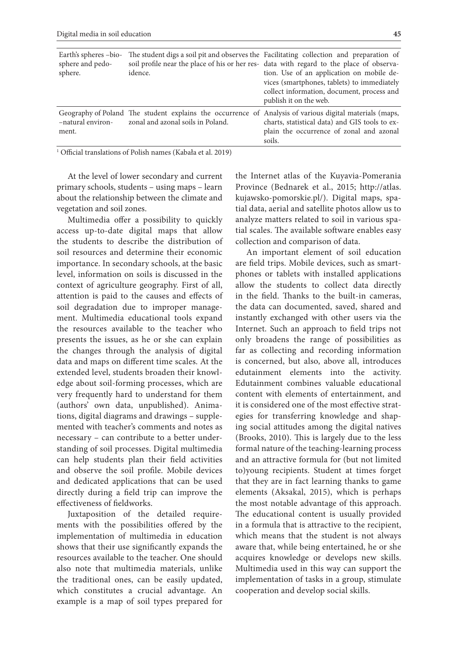| Earth's spheres -bio-<br>sphere and pedo-<br>sphere. | idence.                           | The student digs a soil pit and observes the Facilitating collection and preparation of<br>soil profile near the place of his or her res- data with regard to the place of observa-<br>tion. Use of an application on mobile de-<br>vices (smartphones, tablets) to immediately<br>collect information, document, process and<br>publish it on the web. |
|------------------------------------------------------|-----------------------------------|---------------------------------------------------------------------------------------------------------------------------------------------------------------------------------------------------------------------------------------------------------------------------------------------------------------------------------------------------------|
| -natural environ-<br>ment.                           | zonal and azonal soils in Poland. | Geography of Poland The student explains the occurrence of Analysis of various digital materials (maps,<br>charts, statistical data) and GIS tools to ex-<br>plain the occurrence of zonal and azonal<br>soils.                                                                                                                                         |

1 Official translations of Polish names (Kabała et al. 2019)

At the level of lower secondary and current primary schools, students – using maps – learn about the relationship between the climate and vegetation and soil zones.

Multimedia offer a possibility to quickly access up-to-date digital maps that allow the students to describe the distribution of soil resources and determine their economic importance. In secondary schools, at the basic level, information on soils is discussed in the context of agriculture geography. First of all, attention is paid to the causes and effects of soil degradation due to improper management. Multimedia educational tools expand the resources available to the teacher who presents the issues, as he or she can explain the changes through the analysis of digital data and maps on different time scales. At the extended level, students broaden their knowledge about soil-forming processes, which are very frequently hard to understand for them (authors' own data, unpublished). Animations, digital diagrams and drawings – supplemented with teacher's comments and notes as necessary – can contribute to a better understanding of soil processes. Digital multimedia can help students plan their field activities and observe the soil profile. Mobile devices and dedicated applications that can be used directly during a field trip can improve the effectiveness of fieldworks.

Juxtaposition of the detailed requirements with the possibilities offered by the implementation of multimedia in education shows that their use significantly expands the resources available to the teacher. One should also note that multimedia materials, unlike the traditional ones, can be easily updated, which constitutes a crucial advantage. An example is a map of soil types prepared for

the Internet atlas of the Kuyavia-Pomerania Province (Bednarek et al., 2015; http://atlas. kujawsko-pomorskie.pl/). Digital maps, spatial data, aerial and satellite photos allow us to analyze matters related to soil in various spatial scales. The available software enables easy collection and comparison of data.

An important element of soil education are field trips. Mobile devices, such as smartphones or tablets with installed applications allow the students to collect data directly in the field. Thanks to the built-in cameras, the data can documented, saved, shared and instantly exchanged with other users via the Internet. Such an approach to field trips not only broadens the range of possibilities as far as collecting and recording information is concerned, but also, above all, introduces edutainment elements into the activity. Edutainment combines valuable educational content with elements of entertainment, and it is considered one of the most effective strategies for transferring knowledge and shaping social attitudes among the digital natives (Brooks, 2010). This is largely due to the less formal nature of the teaching-learning process and an attractive formula for (but not limited to)young recipients. Student at times forget that they are in fact learning thanks to game elements (Aksakal, 2015), which is perhaps the most notable advantage of this approach. The educational content is usually provided in a formula that is attractive to the recipient, which means that the student is not always aware that, while being entertained, he or she acquires knowledge or develops new skills. Multimedia used in this way can support the implementation of tasks in a group, stimulate cooperation and develop social skills.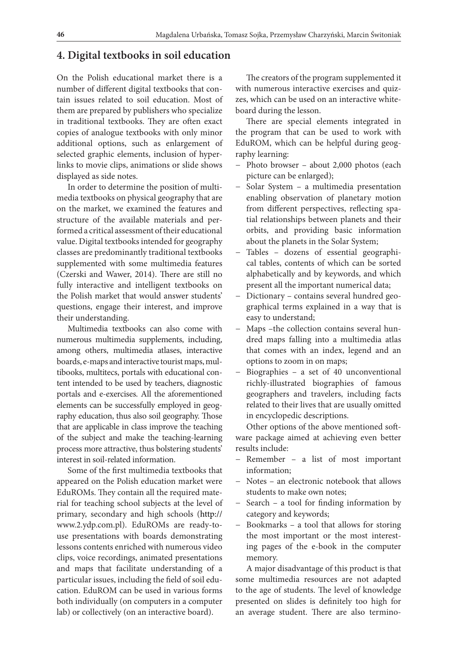#### **4. Digital textbooks in soil education**

On the Polish educational market there is a number of different digital textbooks that contain issues related to soil education. Most of them are prepared by publishers who specialize in traditional textbooks. They are often exact copies of analogue textbooks with only minor additional options, such as enlargement of selected graphic elements, inclusion of hyperlinks to movie clips, animations or slide shows displayed as side notes.

In order to determine the position of multimedia textbooks on physical geography that are on the market, we examined the features and structure of the available materials and performed a critical assessment of their educational value. Digital textbooks intended for geography classes are predominantly traditional textbooks supplemented with some multimedia features (Czerski and Wawer, 2014). There are still no fully interactive and intelligent textbooks on the Polish market that would answer students' questions, engage their interest, and improve their understanding.

Multimedia textbooks can also come with numerous multimedia supplements, including, among others, multimedia atlases, interactive boards, e-maps and interactive tourist maps, multibooks, multitecs, portals with educational content intended to be used by teachers, diagnostic portals and e-exercises. All the aforementioned elements can be successfully employed in geography education, thus also soil geography. Those that are applicable in class improve the teaching of the subject and make the teaching-learning process more attractive, thus bolstering students' interest in soil-related information.

Some of the first multimedia textbooks that appeared on the Polish education market were EduROMs. They contain all the required material for teaching school subjects at the level of primary, secondary and high schools (http:// www.2.ydp.com.pl). EduROMs are ready-touse presentations with boards demonstrating lessons contents enriched with numerous video clips, voice recordings, animated presentations and maps that facilitate understanding of a particular issues, including the field of soil education. EduROM can be used in various forms both individually (on computers in a computer lab) or collectively (on an interactive board).

The creators of the program supplemented it with numerous interactive exercises and quizzes, which can be used on an interactive whiteboard during the lesson.

There are special elements integrated in the program that can be used to work with EduROM, which can be helpful during geography learning:

- − Photo browser about 2,000 photos (each picture can be enlarged);
- − Solar System a multimedia presentation enabling observation of planetary motion from different perspectives, reflecting spatial relationships between planets and their orbits, and providing basic information about the planets in the Solar System;
- − Tables dozens of essential geographical tables, contents of which can be sorted alphabetically and by keywords, and which present all the important numerical data;
- − Dictionary contains several hundred geographical terms explained in a way that is easy to understand;
- − Maps –the collection contains several hundred maps falling into a multimedia atlas that comes with an index, legend and an options to zoom in on maps;
- − Biographies a set of 40 unconventional richly-illustrated biographies of famous geographers and travelers, including facts related to their lives that are usually omitted in encyclopedic descriptions.

Other options of the above mentioned software package aimed at achieving even better results include:

- − Remember a list of most important information;
- − Notes an electronic notebook that allows students to make own notes;
- − Search a tool for finding information by category and keywords;
- − Bookmarks a tool that allows for storing the most important or the most interesting pages of the e-book in the computer memory.

A major disadvantage of this product is that some multimedia resources are not adapted to the age of students. The level of knowledge presented on slides is definitely too high for an average student. There are also termino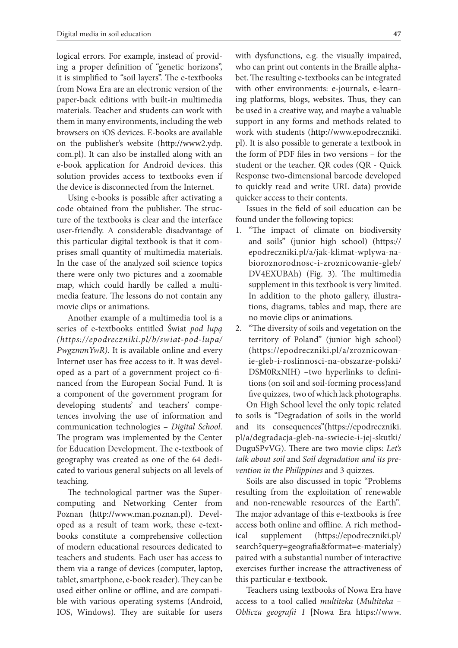logical errors. For example, instead of providing a proper definition of "genetic horizons", it is simplified to "soil layers". The e-textbooks from Nowa Era are an electronic version of the paper-back editions with built-in multimedia materials. Teacher and students can work with them in many environments, including the web browsers on iOS devices. E-books are available on the publisher's website (http://www2.ydp. com.pl). It can also be installed along with an e-book application for Android devices. this solution provides access to textbooks even if the device is disconnected from the Internet.

Using e-books is possible after activating a code obtained from the publisher. The structure of the textbooks is clear and the interface user-friendly. A considerable disadvantage of this particular digital textbook is that it comprises small quantity of multimedia materials. In the case of the analyzed soil science topics there were only two pictures and a zoomable map, which could hardly be called a multimedia feature. The lessons do not contain any movie clips or animations.

Another example of a multimedia tool is a series of e-textbooks entitled Świat *pod lupą (https://epodreczniki.pl/b/swiat-pod-lupa/ PwgzmmYwR)*. It is available online and every Internet user has free access to it. It was developed as a part of a government project co-financed from the European Social Fund. It is a component of the government program for developing students' and teachers' competences involving the use of information and communication technologies – *Digital School*. The program was implemented by the Center for Education Development. The e-textbook of geography was created as one of the 64 dedicated to various general subjects on all levels of teaching.

The technological partner was the Supercomputing and Networking Center from Poznan (http://www.man.poznan.pl). Developed as a result of team work, these e-textbooks constitute a comprehensive collection of modern educational resources dedicated to teachers and students. Each user has access to them via a range of devices (computer, laptop, tablet, smartphone, e-book reader). They can be used either online or offline, and are compatible with various operating systems (Android, IOS, Windows). They are suitable for users with dysfunctions, e.g. the visually impaired, who can print out contents in the Braille alphabet. The resulting e-textbooks can be integrated with other environments: e-journals, e-learning platforms, blogs, websites. Thus, they can be used in a creative way, and maybe a valuable support in any forms and methods related to work with students (http://www.epodreczniki. pl). It is also possible to generate a textbook in the form of PDF files in two versions – for the student or the teacher. QR codes (QR - Quick Response two-dimensional barcode developed to quickly read and write URL data) provide quicker access to their contents.

Issues in the field of soil education can be found under the following topics:

- 1. "The impact of climate on biodiversity and soils" (junior high school) (https:// epodreczniki.pl/a/jak-klimat-wplywa-nabioroznorodnosc-i-zroznicowanie-gleb/ DV4EXUBAh) (Fig. 3). The multimedia supplement in this textbook is very limited. In addition to the photo gallery, illustrations, diagrams, tables and map, there are no movie clips or animations.
- 2. "The diversity of soils and vegetation on the territory of Poland" (junior high school) (https://epodreczniki.pl/a/zroznicowanie-gleb-i-roslinnosci-na-obszarze-polski/ DSM0RxNIH) –two hyperlinks to definitions (on soil and soil-forming process)and five quizzes, two of which lack photographs.

On High School level the only topic related to soils is "Degradation of soils in the world and its consequences"(https://epodreczniki. pl/a/degradacja-gleb-na-swiecie-i-jej-skutki/ DuguSPvVG). There are two movie clips: *Let's talk about soil* and *Soil degradation and its prevention in the Philippines* and 3 quizzes.

Soils are also discussed in topic "Problems resulting from the exploitation of renewable and non-renewable resources of the Earth"*.* The major advantage of this e-textbooks is free access both online and offline. A rich methodical supplement (https://epodreczniki.pl/ search?query=geografia&format=e-materialy) paired with a substantial number of interactive exercises further increase the attractiveness of this particular e-textbook.

Teachers using textbooks of Nowa Era have access to a tool called *multiteka* (*Multiteka – Oblicza geografii 1* [Nowa Era https://www.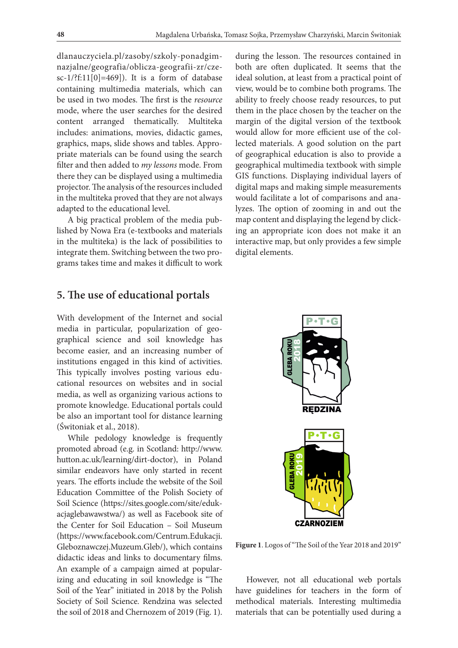dlanauczyciela.pl/zasoby/szkoly-ponadgimnazjalne/geografia/oblicza-geografii-zr/czesc-1/?f:11[0]=469]). It is a form of database containing multimedia materials, which can be used in two modes. The first is the *resource* mode, where the user searches for the desired content arranged thematically. Multiteka includes: animations, movies, didactic games, graphics, maps, slide shows and tables. Appropriate materials can be found using the search filter and then added to *my lessons* mode. From there they can be displayed using a multimedia projector. The analysis of the resources included in the multiteka proved that they are not always adapted to the educational level.

A big practical problem of the media published by Nowa Era (e-textbooks and materials in the multiteka) is the lack of possibilities to integrate them. Switching between the two programs takes time and makes it difficult to work

#### **5. The use of educational portals**

With development of the Internet and social media in particular, popularization of geographical science and soil knowledge has become easier, and an increasing number of institutions engaged in this kind of activities. This typically involves posting various educational resources on websites and in social media, as well as organizing various actions to promote knowledge. Educational portals could be also an important tool for distance learning (Świtoniak et al., 2018).

While pedology knowledge is frequently promoted abroad (e.g. in Scotland: http://www. hutton.ac.uk/learning/dirt-doctor), in Poland similar endeavors have only started in recent years. The efforts include the website of the Soil Education Committee of the Polish Society of Soil Science (https://sites.google.com/site/edukacjaglebawawstwa/) as well as Facebook site of the Center for Soil Education – Soil Museum (https://www.facebook.com/Centrum.Edukacji. Gleboznawczej.Muzeum.Gleb/), which contains didactic ideas and links to documentary films. An example of a campaign aimed at popularizing and educating in soil knowledge is "The Soil of the Year" initiated in 2018 by the Polish Society of Soil Science. Rendzina was selected the soil of 2018 and Chernozem of 2019 (Fig. 1).

during the lesson. The resources contained in both are often duplicated. It seems that the ideal solution, at least from a practical point of view, would be to combine both programs. The ability to freely choose ready resources, to put them in the place chosen by the teacher on the margin of the digital version of the textbook would allow for more efficient use of the collected materials. A good solution on the part of geographical education is also to provide a geographical multimedia textbook with simple GIS functions. Displaying individual layers of digital maps and making simple measurements would facilitate a lot of comparisons and analyzes. The option of zooming in and out the map content and displaying the legend by clicking an appropriate icon does not make it an interactive map, but only provides a few simple digital elements.



**Figure 1**. Logos of "The Soil of the Year 2018 and 2019"

However, not all educational web portals have guidelines for teachers in the form of methodical materials. Interesting multimedia materials that can be potentially used during a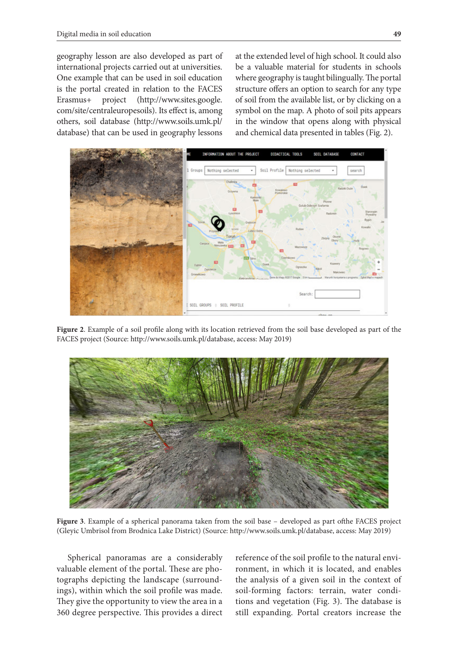geography lesson are also developed as part of international projects carried out at universities. One example that can be used in soil education is the portal created in relation to the FACES Erasmus+ project (http://www.sites.google. com/site/centraleuropesoils). Its effect is, among others, soil database (http://www.soils.umk.pl/ database) that can be used in geography lessons

at the extended level of high school. It could also be a valuable material for students in schools where geography is taught bilingually. The portal structure offers an option to search for any type of soil from the available list, or by clicking on a symbol on the map. A photo of soil pits appears in the window that opens along with physical and chemical data presented in tables (Fig. 2).



**Figure 2**. Example of a soil profile along with its location retrieved from the soil base developed as part of the FACES project (Source: http://www.soils.umk.pl/database, access: May 2019)



**Figure 3**. Example of a spherical panorama taken from the soil base – developed as part ofthe FACES project (Gleyic Umbrisol from Brodnica Lake District) (Source: http://www.soils.umk.pl/database, access: May 2019)

Spherical panoramas are a considerably valuable element of the portal. These are photographs depicting the landscape (surroundings), within which the soil profile was made. They give the opportunity to view the area in a 360 degree perspective. This provides a direct

reference of the soil profile to the natural environment, in which it is located, and enables the analysis of a given soil in the context of soil-forming factors: terrain, water conditions and vegetation (Fig. 3). The database is still expanding. Portal creators increase the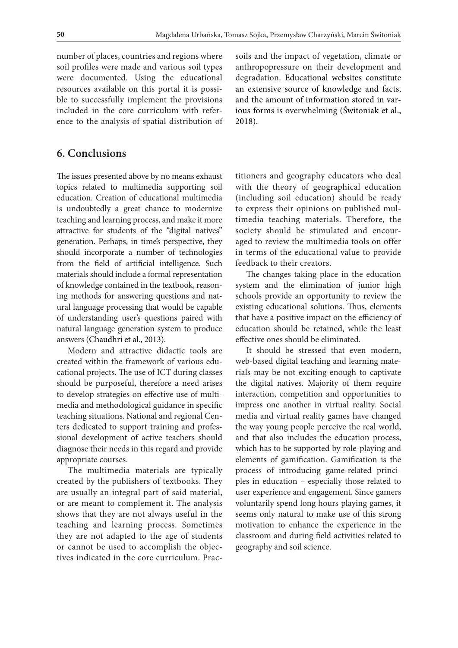number of places, countries and regions where soil profiles were made and various soil types were documented. Using the educational resources available on this portal it is possible to successfully implement the provisions included in the core curriculum with reference to the analysis of spatial distribution of

#### **6. Conclusions**

The issues presented above by no means exhaust topics related to multimedia supporting soil education. Creation of educational multimedia is undoubtedly a great chance to modernize teaching and learning process, and make it more attractive for students of the "digital natives" generation. Perhaps, in time's perspective, they should incorporate a number of technologies from the field of artificial intelligence. Such materials should include a formal representation of knowledge contained in the textbook, reasoning methods for answering questions and natural language processing that would be capable of understanding user's questions paired with natural language generation system to produce answers (Chaudhri et al., 2013).

Modern and attractive didactic tools are created within the framework of various educational projects. The use of ICT during classes should be purposeful, therefore a need arises to develop strategies on effective use of multimedia and methodological guidance in specific teaching situations. National and regional Centers dedicated to support training and professional development of active teachers should diagnose their needs in this regard and provide appropriate courses.

The multimedia materials are typically created by the publishers of textbooks. They are usually an integral part of said material, or are meant to complement it. The analysis shows that they are not always useful in the teaching and learning process. Sometimes they are not adapted to the age of students or cannot be used to accomplish the objectives indicated in the core curriculum. Pracsoils and the impact of vegetation, climate or anthropopressure on their development and degradation. Educational websites constitute an extensive source of knowledge and facts, and the amount of information stored in various forms is overwhelming (Świtoniak et al., 2018).

titioners and geography educators who deal with the theory of geographical education (including soil education) should be ready to express their opinions on published multimedia teaching materials. Therefore, the society should be stimulated and encouraged to review the multimedia tools on offer in terms of the educational value to provide feedback to their creators.

The changes taking place in the education system and the elimination of junior high schools provide an opportunity to review the existing educational solutions. Thus, elements that have a positive impact on the efficiency of education should be retained, while the least effective ones should be eliminated.

It should be stressed that even modern, web-based digital teaching and learning materials may be not exciting enough to captivate the digital natives. Majority of them require interaction, competition and opportunities to impress one another in virtual reality. Social media and virtual reality games have changed the way young people perceive the real world, and that also includes the education process, which has to be supported by role-playing and elements of gamification. Gamification is the process of introducing game-related principles in education – especially those related to user experience and engagement. Since gamers voluntarily spend long hours playing games, it seems only natural to make use of this strong motivation to enhance the experience in the classroom and during field activities related to geography and soil science.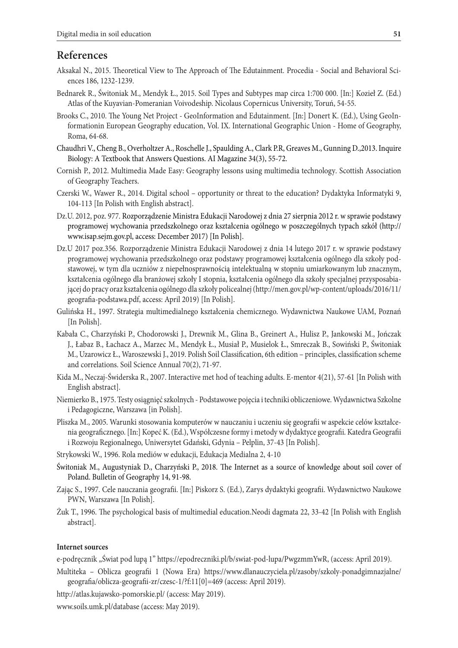#### **References**

- Aksakal N., 2015. Theoretical View to The Approach of The Edutainment*.* Procedia Social and Behavioral Sciences 186, 1232-1239.
- Bednarek R., Świtoniak M., Mendyk Ł., 2015. Soil Types and Subtypes map circa 1:700 000. [In:] Kozieł Z. (Ed.) Atlas of the Kuyavian-Pomeranian Voivodeship. Nicolaus Copernicus University, Toruń, 54-55.
- Brooks C., 2010. The Young Net Project GeoInformation and Edutainment. [In:] Donert K. (Ed.), Using GeoInformationin European Geography education, Vol. IX. International Geographic Union - Home of Geography, Roma, 64-68.
- Chaudhri V., Cheng B., Overholtzer A., Roschelle J., Spaulding A., Clark P.R, Greaves M., Gunning D.,2013. Inquire Biology: A Textbook that Answers Questions. AI Magazine 34(3), 55-72.
- Cornish P., 2012. Multimedia Made Easy: Geography lessons using multimedia technology*.* Scottish Association of Geography Teachers.
- Czerski W., Wawer R., 2014. Digital school opportunity or threat to the education? Dydaktyka Informatyki 9, 104-113 [In Polish with English abstract].
- Dz.U. 2012, poz. 977. Rozporządzenie Ministra Edukacji Narodowej z dnia 27 sierpnia 2012 r. w sprawie podstawy programowej wychowania przedszkolnego oraz kształcenia ogólnego w poszczególnych typach szkół (http:// www.isap.sejm.gov.pl, access: December 2017) [In Polish].
- Dz.U 2017 poz.356. Rozporządzenie Ministra Edukacji Narodowej z dnia 14 lutego 2017 r. w sprawie podstawy programowej wychowania przedszkolnego oraz podstawy programowej kształcenia ogólnego dla szkoły podstawowej, w tym dla uczniów z niepełnosprawnością intelektualną w stopniu umiarkowanym lub znacznym, kształcenia ogólnego dla branżowej szkoły I stopnia, kształcenia ogólnego dla szkoły specjalnej przysposabiającej do pracy oraz kształcenia ogólnego dla szkoły policealnej (http://men.gov.pl/wp-content/uploads/2016/11/ geografia-podstawa.pdf, access: April 2019) [In Polish].
- Gulińska H., 1997. Strategia multimedialnego kształcenia chemicznego. Wydawnictwa Naukowe UAM, Poznań [In Polish].
- Kabała C., Charzyński P., Chodorowski J., Drewnik M., Glina B., Greinert A., Hulisz P., Jankowski M., Jończak J., Łabaz B., Łachacz A., Marzec M., Mendyk Ł., Musiał P., Musielok Ł., Smreczak B., Sowiński P., Świtoniak M., Uzarowicz Ł., Waroszewski J., 2019. Polish Soil Classification, 6th edition – principles, classification scheme and correlations. Soil Science Annual 70(2), 71-97.
- Kida M., Neczaj-Świderska R., 2007. Interactive met hod of teaching adults. E-mentor 4(21), 57-61 [In Polish with English abstract].
- Niemierko B., 1975. Testy osiągnięć szkolnych Podstawowe pojęcia i techniki obliczeniowe. Wydawnictwa Szkolne i Pedagogiczne, Warszawa [in Polish].
- Pliszka M., 2005. Warunki stosowania komputerów w nauczaniu i uczeniu się geografii w aspekcie celów kształcenia geograficznego. [In:] Kopeć K. (Ed.), Współczesne formy i metody w dydaktyce geografii. Katedra Geografii i Rozwoju Regionalnego, Uniwersytet Gdański, Gdynia – Pelplin, 37-43 [In Polish].
- Strykowski W., 1996. Rola mediów w edukacji, Edukacja Medialna 2, 4-10
- Świtoniak M., Augustyniak D., Charzyński P., 2018. The Internet as a source of knowledge about soil cover of Poland. Bulletin of Geography 14, 91-98.
- Zając S., 1997. Cele nauczania geografii. [In:] Piskorz S. (Ed.), Zarys dydaktyki geografii. Wydawnictwo Naukowe PWN, Warszawa [In Polish].
- Żuk T., 1996. The psychological basis of multimedial education.Neodi dagmata 22, 33-42 [In Polish with English abstract].

#### **Internet sources**

e-podręcznik "Świat pod lupą 1" https://epodreczniki.pl/b/swiat-pod-lupa/PwgzmmYwR, (access: April 2019).

- Multiteka Oblicza geografii 1 (Nowa Era) https://www.dlanauczyciela.pl/zasoby/szkoly-ponadgimnazjalne/ geografia/oblicza-geografii-zr/czesc-1/?f:11[0]=469 (access: April 2019).
- http://atlas.kujawsko-pomorskie.pl/ (access: May 2019).

www.soils.umk.pl/database (access: May 2019).